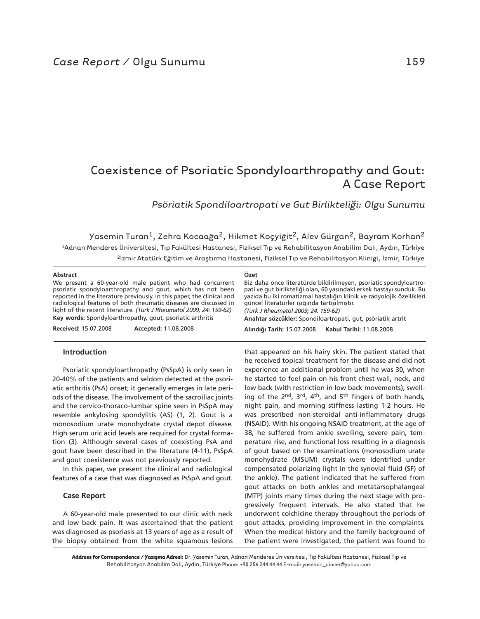# Coexistence of Psoriatic Spondyloarthropathy and Gout: A Case Report

*Psöriatik Spondiloartropati ve Gut Birlikteliği: Olgu Sunumu* 

 Yasemin Turan1, Zehra Kocaağa2, Hikmet Koçyiğit2, Alev Gürgan2, Bayram Korhan2 1Adnan Menderes Üniversitesi, Tıp Fakültesi Hastanesi, Fiziksel Tıp ve Rehabilitasyon Anabilim Dalı, Aydın, Türkiye <sup>2</sup>İzmir Atatürk Eğitim ve Araştırma Hastanesi, Fiziksel Tıp ve Rehabilitasyon Kliniği, İzmir, Türkiye

| Özet<br>Biz daha önce literatürde bildirilmeyen, psoriatic spondyloartro-<br>pati ve gut birlikteliği olan, 60 yaşındaki erkek hastayı sunduk. Bu<br>yazıda bu iki romatizmal hastalığın klinik ve radyolojik özellikleri<br>güncel literatürler ışığında tartışılmıştır.<br>(Turk J Rheumatol 2009: 24: 159-62)<br>Anahtar sözcükler: Spondiloartropati, gut, psöriatik artrit |
|---------------------------------------------------------------------------------------------------------------------------------------------------------------------------------------------------------------------------------------------------------------------------------------------------------------------------------------------------------------------------------|
| Alındığı Tarih: 15.07.2008<br>Kabul Tarihi: 11.08.2008                                                                                                                                                                                                                                                                                                                          |
|                                                                                                                                                                                                                                                                                                                                                                                 |

# **Introduction**

Psoriatic spondyloarthropathy (PsSpA) is only seen in 20-40% of the patients and seldom detected at the psoriatic arthritis (PsA) onset; it generally emerges in late periods of the disease. The involvement of the sacroiliac joints and the cervico-thoraco-lumbar spine seen in PsSpA may resemble ankylosing spondylitis (AS) (1, 2). Gout is a monosodium urate monohydrate crystal depot disease. High serum uric acid levels are required for crystal formation (3). Although several cases of coexisting PsA and gout have been described in the literature (4-11), PsSpA and gout coexistence was not previously reported.

In this paper, we present the clinical and radiological features of a case that was diagnosed as PsSpA and gout.

## **Case Report**

A 60-year-old male presented to our clinic with neck and low back pain. It was ascertained that the patient was diagnosed as psoriasis at 13 years of age as a result of the biopsy obtained from the white squamous lesions that appeared on his hairy skin. The patient stated that he received topical treatment for the disease and did not experience an additional problem until he was 30, when he started to feel pain on his front chest wall, neck, and low back (with restriction in low back movements), swelling of the 2nd, 3rd, 4th, and 5th fingers of both hands, night pain, and morning stiffness lasting 1-2 hours. He was prescribed non-steroidal anti-inflammatory drugs (NSAID). With his ongoing NSAID treatment, at the age of 38, he suffered from ankle swelling, severe pain, temperature rise, and functional loss resulting in a diagnosis of gout based on the examinations (monosodium urate monohydrate (MSUM) crystals were identified under compensated polarizing light in the synovial fluid (SF) of the ankle). The patient indicated that he suffered from gout attacks on both ankles and metatarsophalangeal (MTP) joints many times during the next stage with progressively frequent intervals. He also stated that he underwent colchicine therapy throughout the periods of gout attacks, providing improvement in the complaints. When the medical history and the family background of the patient were investigated, the patient was found to

**Address for Correspondence / Yazışma Adresi:** Dr. Yasemin Turan, Adnan Menderes Üniversitesi, Tıp Fakültesi Hastanesi, Fiziksel Tıp ve Rehabilitasyon Anabilim Dalı, Aydın, Türkiye Phone: +90 256 244 44 44 E-mail: yasemin\_dincer@yahoo.com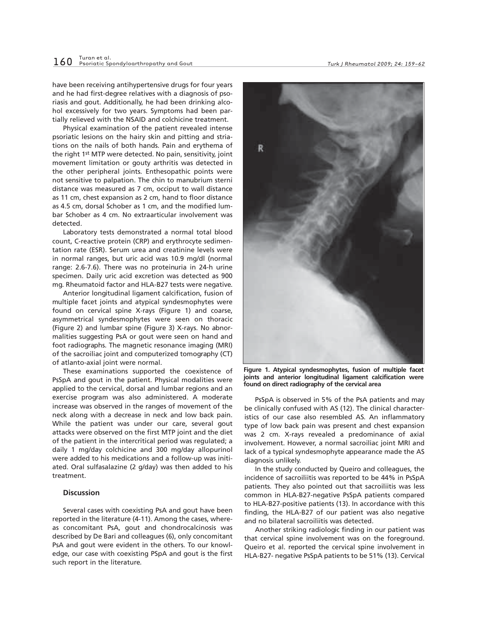have been receiving antihypertensive drugs for four years and he had first-degree relatives with a diagnosis of psoriasis and gout. Additionally, he had been drinking alcohol excessively for two years. Symptoms had been partially relieved with the NSAID and colchicine treatment.

Physical examination of the patient revealed intense psoriatic lesions on the hairy skin and pitting and striations on the nails of both hands. Pain and erythema of the right 1st MTP were detected. No pain, sensitivity, joint movement limitation or gouty arthritis was detected in the other peripheral joints. Enthesopathic points were not sensitive to palpation. The chin to manubrium sterni distance was measured as 7 cm, occiput to wall distance as 11 cm, chest expansion as 2 cm, hand to floor distance as 4.5 cm, dorsal Schober as 1 cm, and the modified lumbar Schober as 4 cm. No extraarticular involvement was detected.

Laboratory tests demonstrated a normal total blood count, C-reactive protein (CRP) and erythrocyte sedimentation rate (ESR). Serum urea and creatinine levels were in normal ranges, but uric acid was 10.9 mg/dl (normal range: 2.6-7.6). There was no proteinuria in 24-h urine specimen. Daily uric acid excretion was detected as 900 mg. Rheumatoid factor and HLA-B27 tests were negative.

Anterior longitudinal ligament calcification, fusion of multiple facet joints and atypical syndesmophytes were found on cervical spine X-rays (Figure 1) and coarse, asymmetrical syndesmophytes were seen on thoracic (Figure 2) and lumbar spine (Figure 3) X-rays. No abnormalities suggesting PsA or gout were seen on hand and foot radiographs. The magnetic resonance imaging (MRI) of the sacroiliac joint and computerized tomography (CT) of atlanto-axial joint were normal.

These examinations supported the coexistence of PsSpA and gout in the patient. Physical modalities were applied to the cervical, dorsal and lumbar regions and an exercise program was also administered. A moderate increase was observed in the ranges of movement of the neck along with a decrease in neck and low back pain. While the patient was under our care, several gout attacks were observed on the first MTP joint and the diet of the patient in the intercritical period was regulated; a daily 1 mg/day colchicine and 300 mg/day allopurinol were added to his medications and a follow-up was initiated. Oral sulfasalazine (2 g/day) was then added to his treatment.

#### **Discussion**

Several cases with coexisting PsA and gout have been reported in the literature (4-11). Among the cases, whereas concomitant PsA, gout and chondrocalcinosis was described by De Bari and colleagues (6), only concomitant PsA and gout were evident in the others. To our knowledge, our case with coexisting PSpA and gout is the first such report in the literature.

*Turk J Rheumatol 2009; 24: 159-62*



**Figure 1. Atypical syndesmophytes, fusion of multiple facet joints and anterior longitudinal ligament calcification were found on direct radiography of the cervical area**

PsSpA is observed in 5% of the PsA patients and may be clinically confused with AS (12). The clinical characteristics of our case also resembled AS. An inflammatory type of low back pain was present and chest expansion was 2 cm. X-rays revealed a predominance of axial involvement. However, a normal sacroiliac joint MRI and lack of a typical syndesmophyte appearance made the AS diagnosis unlikely.

In the study conducted by Queiro and colleagues, the incidence of sacroiliitis was reported to be 44% in PsSpA patients. They also pointed out that sacroiliitis was less common in HLA-B27-negative PsSpA patients compared to HLA-B27-positive patients (13). In accordance with this finding, the HLA-B27 of our patient was also negative and no bilateral sacroiliitis was detected.

Another striking radiologic finding in our patient was that cervical spine involvement was on the foreground. Queiro et al. reported the cervical spine involvement in HLA-B27- negative PsSpA patients to be 51% (13). Cervical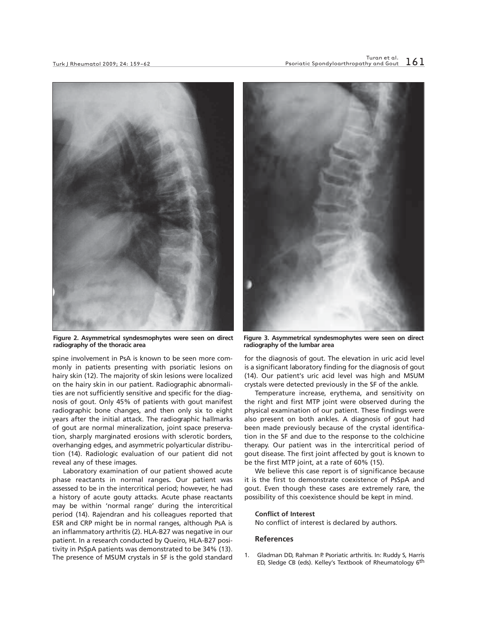

**Figure 2. Asymmetrical syndesmophytes were seen on direct radiography of the thoracic area**

spine involvement in PsA is known to be seen more commonly in patients presenting with psoriatic lesions on hairy skin (12). The majority of skin lesions were localized on the hairy skin in our patient. Radiographic abnormalities are not sufficiently sensitive and specific for the diagnosis of gout. Only 45% of patients with gout manifest radiographic bone changes, and then only six to eight years after the initial attack. The radiographic hallmarks of gout are normal mineralization, joint space preservation, sharply marginated erosions with sclerotic borders, overhanging edges, and asymmetric polyarticular distribution (14). Radiologic evaluation of our patient did not reveal any of these images.

Laboratory examination of our patient showed acute phase reactants in normal ranges**.** Our patient was assessed to be in the intercritical period; however, he had a history of acute gouty attacks. Acute phase reactants may be within 'normal range' during the intercritical period (14). Rajendran and his colleagues reported that ESR and CRP might be in normal ranges, although PsA is an inflammatory arthritis (2). HLA-B27 was negative in our patient. In a research conducted by Queiro, HLA-B27 positivity in PsSpA patients was demonstrated to be 34% (13). The presence of MSUM crystals in SF is the gold standard



**Figure 3. Asymmetrical syndesmophytes were seen on direct radiography of the lumbar area**

for the diagnosis of gout. The elevation in uric acid level is a significant laboratory finding for the diagnosis of gout (14). Our patient's uric acid level was high and MSUM crystals were detected previously in the SF of the ankle.

Temperature increase, erythema, and sensitivity on the right and first MTP joint were observed during the physical examination of our patient. These findings were also present on both ankles. A diagnosis of gout had been made previously because of the crystal identification in the SF and due to the response to the colchicine therapy. Our patient was in the intercritical period of gout disease. The first joint affected by gout is known to be the first MTP joint, at a rate of 60% (15).

We believe this case report is of significance because it is the first to demonstrate coexistence of PsSpA and gout. Even though these cases are extremely rare, the possibility of this coexistence should be kept in mind.

#### **Conflict of Interest**

No conflict of interest is declared by authors.

## **References**

1. Gladman DD, Rahman P. Psoriatic arthritis. In: Ruddy S, Harris ED, Sledge CB (eds). Kelley's Textbook of Rheumatology 6th